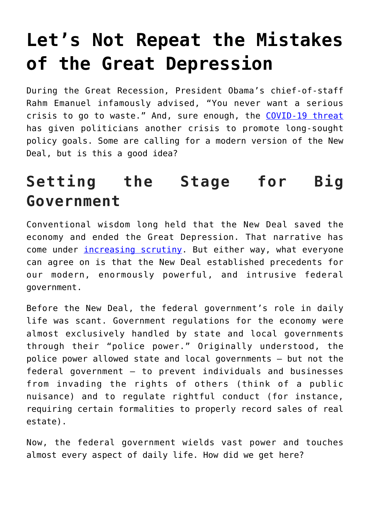# **[Let's Not Repeat the Mistakes](https://intellectualtakeout.org/2020/05/lets-not-repeat-the-mistakes-of-the-great-depression/) [of the Great Depression](https://intellectualtakeout.org/2020/05/lets-not-repeat-the-mistakes-of-the-great-depression/)**

During the Great Recession, President Obama's chief-of-staff Rahm Emanuel infamously advised, "You never want a serious crisis to go to waste." And, sure enough, the [COVID-19 threat](https://pacificlegal.org/covid/) has given politicians another crisis to promote long-sought policy goals. Some are calling for a modern version of the New Deal, but is this a good idea?

### **Setting the Stage for Big Government**

Conventional wisdom long held that the New Deal saved the economy and ended the Great Depression. That narrative has come under [increasing scrutiny](https://fee.org/articles/what-ended-the-great-depression/). But either way, what everyone can agree on is that the New Deal established precedents for our modern, enormously powerful, and intrusive federal government.

Before the New Deal, the federal government's role in daily life was scant. Government regulations for the economy were almost exclusively handled by state and local governments through their "police power." Originally understood, the police power allowed state and local governments – but not the federal government – to prevent individuals and businesses from invading the rights of others (think of a public nuisance) and to regulate rightful conduct (for instance, requiring certain formalities to properly record sales of real estate).

Now, the federal government wields vast power and touches almost every aspect of daily life. How did we get here?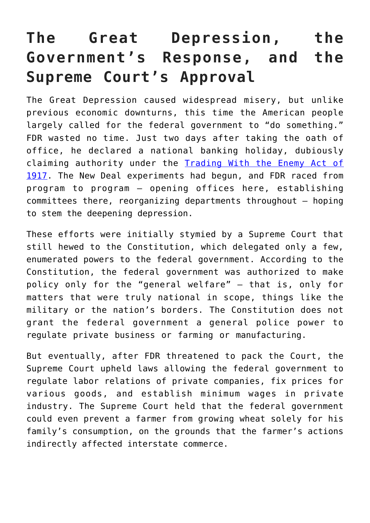## **The Great Depression, the Government's Response, and the Supreme Court's Approval**

The Great Depression caused widespread misery, but unlike previous economic downturns, this time the American people largely called for the federal government to "do something." FDR wasted no time. Just two days after taking the oath of office, he declared a national banking holiday, dubiously claiming authority under the [Trading With the Enemy Act of](https://en.wikipedia.org/wiki/Trading_with_the_Enemy_Act_of_1917) [1917](https://en.wikipedia.org/wiki/Trading_with_the_Enemy_Act_of_1917). The New Deal experiments had begun, and FDR raced from program to program – opening offices here, establishing committees there, reorganizing departments throughout – hoping to stem the deepening depression.

These efforts were initially stymied by a Supreme Court that still hewed to the Constitution, which delegated only a few, enumerated powers to the federal government. According to the Constitution, the federal government was authorized to make policy only for the "general welfare" – that is, only for matters that were truly national in scope, things like the military or the nation's borders. The Constitution does not grant the federal government a general police power to regulate private business or farming or manufacturing.

But eventually, after FDR threatened to pack the Court, the Supreme Court upheld laws allowing the federal government to regulate labor relations of private companies, fix prices for various goods, and establish minimum wages in private industry. The Supreme Court held that the federal government could even prevent a farmer from growing wheat solely for his family's consumption, on the grounds that the farmer's actions indirectly affected interstate commerce.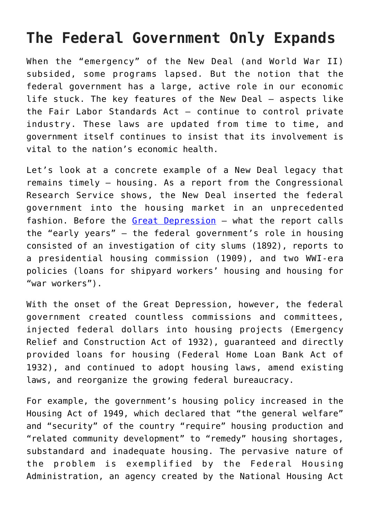#### **The Federal Government Only Expands**

When the "emergency" of the New Deal (and World War II) subsided, some programs lapsed. But the notion that the federal government has a large, active role in our economic life stuck. The key features of the New Deal – aspects like the Fair Labor Standards Act – continue to control private industry. These laws are updated from time to time, and government itself continues to insist that its involvement is vital to the nation's economic health.

Let's look at a concrete example of a New Deal legacy that remains timely – housing. As a report from the Congressional Research Service shows, the New Deal inserted the federal government into the housing market in an unprecedented fashion. Before the [Great Depression](https://fee.org/articles/what-caused-the-great-depression/) – what the report calls the "early years" – the federal government's role in housing consisted of an investigation of city slums (1892), reports to a presidential housing commission (1909), and two WWI-era policies (loans for shipyard workers' housing and housing for "war workers").

With the onset of the Great Depression, however, the federal government created countless commissions and committees, injected federal dollars into housing projects (Emergency Relief and Construction Act of 1932), guaranteed and directly provided loans for housing (Federal Home Loan Bank Act of 1932), and continued to adopt housing laws, amend existing laws, and reorganize the growing federal bureaucracy.

For example, the government's housing policy increased in the Housing Act of 1949, which declared that "the general welfare" and "security" of the country "require" housing production and "related community development" to "remedy" housing shortages, substandard and inadequate housing. The pervasive nature of the problem is exemplified by the Federal Housing Administration, an agency created by the National Housing Act